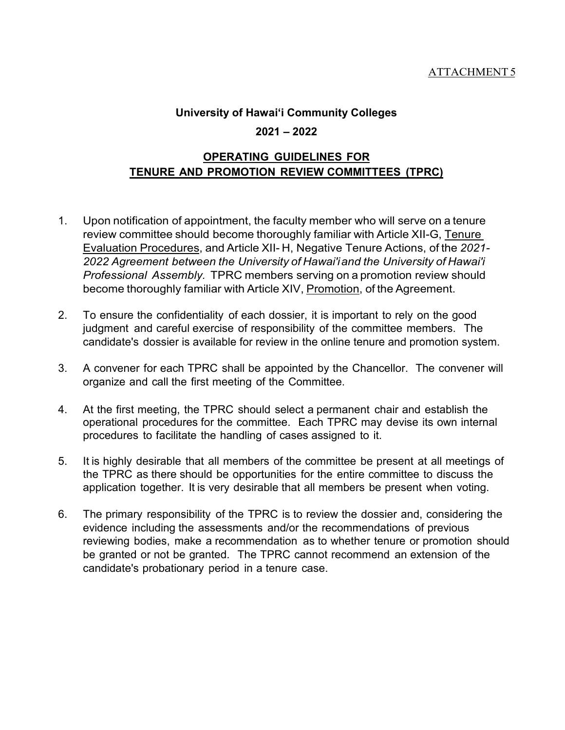## **University of Hawai'i Community Colleges 2021 – 2022**

## **OPERATING GUIDELINES FOR TENURE AND PROMOTION REVIEW COMMITTEES (TPRC)**

- 1. Upon notification of appointment, the faculty member who will serve on a tenure review committee should become thoroughly familiar with Article XII-G, Tenure Evaluation Procedures, and Article XII- H, Negative Tenure Actions, of the *2021- 2022 Agreement between the University of Hawai'iand the University of Hawai'i Professional Assembly.* TPRC members serving on a promotion review should become thoroughly familiar with Article XIV, Promotion, of the Agreement.
- 2. To ensure the confidentiality of each dossier, it is important to rely on the good judgment and careful exercise of responsibility of the committee members. The candidate's dossier is available for review in the online tenure and promotion system.
- 3. A convener for each TPRC shall be appointed by the Chancellor. The convener will organize and call the first meeting of the Committee.
- 4. At the first meeting, the TPRC should select a permanent chair and establish the operational procedures for the committee. Each TPRC may devise its own internal procedures to facilitate the handling of cases assigned to it.
- 5. It is highly desirable that all members of the committee be present at all meetings of the TPRC as there should be opportunities for the entire committee to discuss the application together. It is very desirable that all members be present when voting.
- 6. The primary responsibility of the TPRC is to review the dossier and, considering the evidence including the assessments and/or the recommendations of previous reviewing bodies, make a recommendation as to whether tenure or promotion should be granted or not be granted. The TPRC cannot recommend an extension of the candidate's probationary period in a tenure case.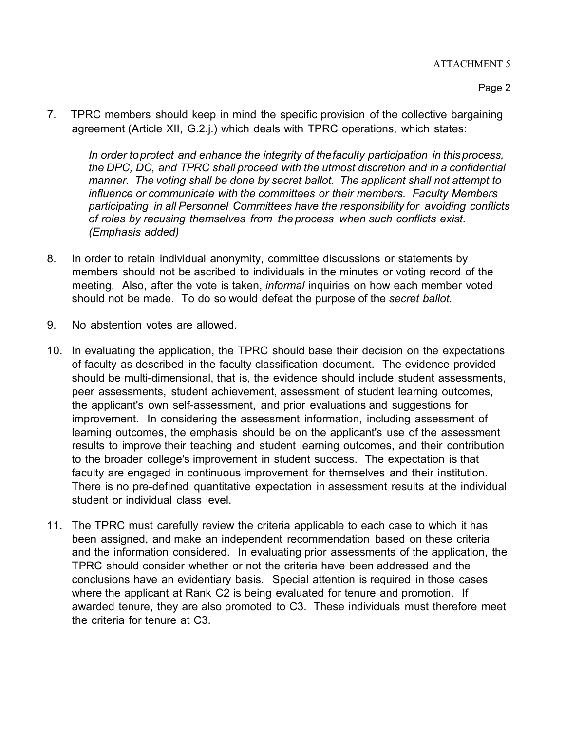7. TPRC members should keep in mind the specific provision of the collective bargaining agreement (Article XII, G.2.j.) which deals with TPRC operations, which states:

*In order toprotect and enhance the integrity of thefaculty participation in thisprocess, the DPC, DC, and TPRC shall proceed with the utmost discretion and in a confidential manner. The voting shall be done by secret ballot. The applicant shall not attempt to influence or communicate with the committees or their members. Faculty Members participating in all Personnel Committees have the responsibility for avoiding conflicts of roles by recusing themselves from the process when such conflicts exist. (Emphasis added)*

- 8. In order to retain individual anonymity, committee discussions or statements by members should not be ascribed to individuals in the minutes or voting record of the meeting. Also, after the vote is taken, *informal* inquiries on how each member voted should not be made. To do so would defeat the purpose of the *secret ballot.*
- 9. No abstention votes are allowed.
- 10. In evaluating the application, the TPRC should base their decision on the expectations of faculty as described in the faculty classification document. The evidence provided should be multi-dimensional, that is, the evidence should include student assessments, peer assessments, student achievement, assessment of student learning outcomes, the applicant's own self-assessment, and prior evaluations and suggestions for improvement. In considering the assessment information, including assessment of learning outcomes, the emphasis should be on the applicant's use of the assessment results to improve their teaching and student learning outcomes, and their contribution to the broader college's improvement in student success. The expectation is that faculty are engaged in continuous improvement for themselves and their institution. There is no pre-defined quantitative expectation in assessment results at the individual student or individual class level.
- 11. The TPRC must carefully review the criteria applicable to each case to which it has been assigned, and make an independent recommendation based on these criteria and the information considered. In evaluating prior assessments of the application, the TPRC should consider whether or not the criteria have been addressed and the conclusions have an evidentiary basis. Special attention is required in those cases where the applicant at Rank C2 is being evaluated for tenure and promotion. If awarded tenure, they are also promoted to C3. These individuals must therefore meet the criteria for tenure at C3.